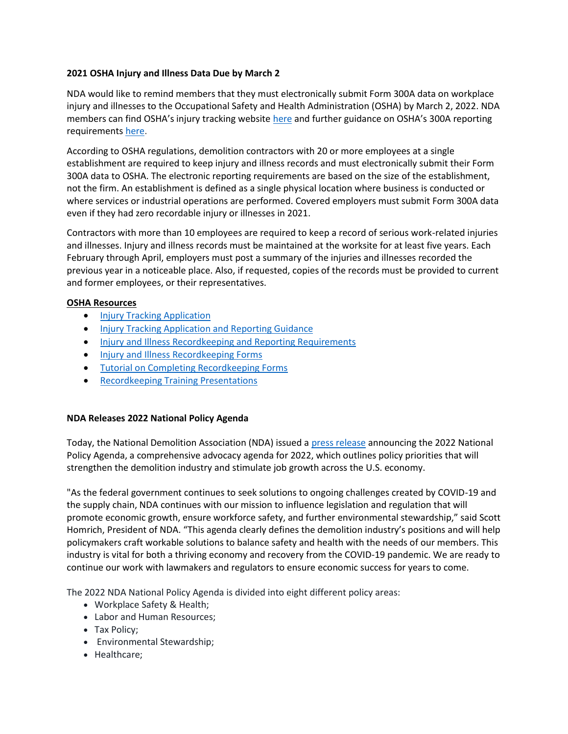## **2021 OSHA Injury and Illness Data Due by March 2**

NDA would like to remind members that they must electronically submit Form 300A data on workplace injury and illnesses to the Occupational Safety and Health Administration (OSHA) by March 2, 2022. NDA members can find OSHA's injury tracking website [here](http://listservm.infoinc.com/trk/click?ref=zwf21n1o2_2-6df7x34bb43x0971140&) and further guidance on OSHA's 300A reporting requirements [here.](http://listservm.infoinc.com/trk/click?ref=zwf21n1o2_2-6df7x37e3f8x0971140&)

According to OSHA regulations, demolition contractors with 20 or more employees at a single establishment are required to keep injury and illness records and must electronically submit their Form 300A data to OSHA. The electronic reporting requirements are based on the size of the establishment, not the firm. An establishment is defined as a single physical location where business is conducted or where services or industrial operations are performed. Covered employers must submit Form 300A data even if they had zero recordable injury or illnesses in 2021.

Contractors with more than 10 employees are required to keep a record of serious work-related injuries and illnesses. Injury and illness records must be maintained at the worksite for at least five years. Each February through April, employers must post a summary of the injuries and illnesses recorded the previous year in a noticeable place. Also, if requested, copies of the records must be provided to current and former employees, or their representatives.

## **OSHA Resources**

- **[Injury Tracking Application](https://www.osha.gov/injuryreporting/ita/)**
- **[Injury Tracking Application and Reporting Guidance](https://www.osha.gov/injuryreporting/)**
- [Injury and Illness Recordkeeping and Reporting Requirements](https://www.osha.gov/recordkeeping)
- **[Injury and Illness Recordkeeping Forms](https://www.osha.gov/recordkeeping/forms)**
- **[Tutorial on Completing Recordkeeping Forms](https://www.osha.gov/recordkeeping/tutorial)**
- **•** [Recordkeeping Training Presentations](https://www.osha.gov/recordkeeping/presentations)

## **NDA Releases 2022 National Policy Agenda**

Today, the National Demolition Association (NDA) issued [a press release](https://www.demolitionassociation.com/Portals/0/2022%20National%20Policy%20Agenda_1.pdf) announcing the 2022 National Policy Agenda, a comprehensive advocacy agenda for 2022, which outlines policy priorities that will strengthen the demolition industry and stimulate job growth across the U.S. economy.

"As the federal government continues to seek solutions to ongoing challenges created by COVID-19 and the supply chain, NDA continues with our mission to influence legislation and regulation that will promote economic growth, ensure workforce safety, and further environmental stewardship," said Scott Homrich, President of NDA. "This agenda clearly defines the demolition industry's positions and will help policymakers craft workable solutions to balance safety and health with the needs of our members. This industry is vital for both a thriving economy and recovery from the COVID-19 pandemic. We are ready to continue our work with lawmakers and regulators to ensure economic success for years to come.

The 2022 NDA National Policy Agenda is divided into eight different policy areas:

- Workplace Safety & Health;
- Labor and Human Resources;
- Tax Policy;
- Environmental Stewardship;
- Healthcare;